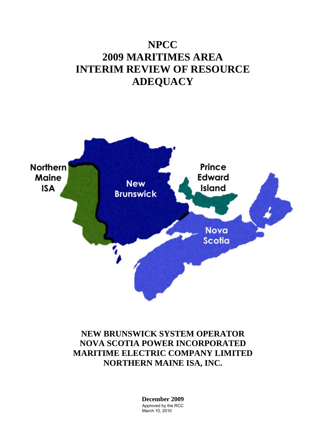

# **NEW BRUNSWICK SYSTEM OPERATOR NOVA SCOTIA POWER INCORPORATED MARITIME ELECTRIC COMPANY LIMITED NORTHERN MAINE ISA, INC.**

**December 2009**  Approved by the RCC March 10, 2010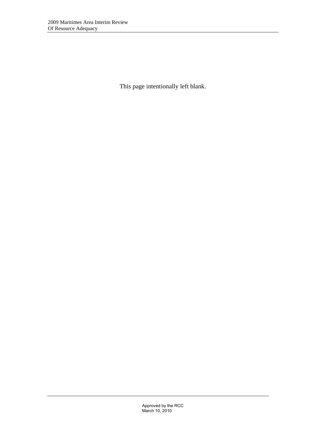This page intentionally left blank.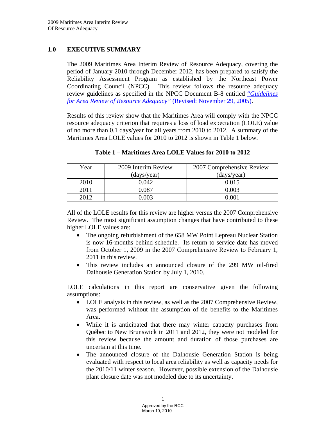## **1.0 EXECUTIVE SUMMARY**

The 2009 Maritimes Area Interim Review of Resource Adequacy, covering the period of January 2010 through December 2012, has been prepared to satisfy the Reliability Assessment Program as established by the Northeast Power Coordinating Council (NPCC). This review follows the resource adequacy review guidelines as specified in the NPCC Document B-8 entitled "*Guidelines for Area Review of Resource Adequacy"* (Revised: November 29, 2005).

Results of this review show that the Maritimes Area will comply with the NPCC resource adequacy criterion that requires a loss of load expectation (LOLE) value of no more than 0.1 days/year for all years from 2010 to 2012. A summary of the Maritimes Area LOLE values for 2010 to 2012 is shown in Table 1 below.

| Year | 2009 Interim Review | 2007 Comprehensive Review |
|------|---------------------|---------------------------|
|      | (days/year)         | (days/year)               |
| 2010 | 0.042               | 0.015                     |
| 2011 | ገ በጸ7               | 0.003                     |
| 2012 |                     |                           |

#### **Table 1 – Maritimes Area LOLE Values for 2010 to 2012**

All of the LOLE results for this review are higher versus the 2007 Comprehensive Review. The most significant assumption changes that have contributed to these higher LOLE values are:

- The ongoing refurbishment of the 658 MW Point Lepreau Nuclear Station is now 16-months behind schedule. Its return to service date has moved from October 1, 2009 in the 2007 Comprehensive Review to February 1, 2011 in this review.
- This review includes an announced closure of the 299 MW oil-fired Dalhousie Generation Station by July 1, 2010.

LOLE calculations in this report are conservative given the following assumptions:

- LOLE analysis in this review, as well as the 2007 Comprehensive Review, was performed without the assumption of tie benefits to the Maritimes Area.
- While it is anticipated that there may winter capacity purchases from Québec to New Brunswick in 2011 and 2012, they were not modeled for this review because the amount and duration of those purchases are uncertain at this time.
- The announced closure of the Dalhousie Generation Station is being evaluated with respect to local area reliability as well as capacity needs for the 2010/11 winter season. However, possible extension of the Dalhousie plant closure date was not modeled due to its uncertainty.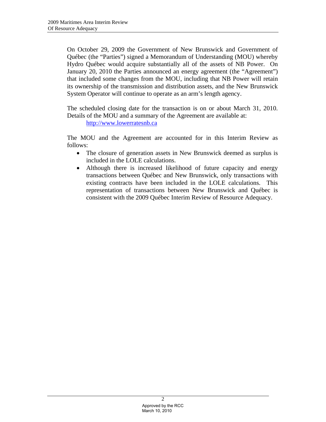On October 29, 2009 the Government of New Brunswick and Government of Québec (the "Parties") signed a Memorandum of Understanding (MOU) whereby Hydro Québec would acquire substantially all of the assets of NB Power. On January 20, 2010 the Parties announced an energy agreement (the "Agreement") that included some changes from the MOU, including that NB Power will retain its ownership of the transmission and distribution assets, and the New Brunswick System Operator will continue to operate as an arm's length agency.

The scheduled closing date for the transaction is on or about March 31, 2010. Details of the MOU and a summary of the Agreement are available at:

http://www.lowerratesnb.ca

The MOU and the Agreement are accounted for in this Interim Review as follows:

- The closure of generation assets in New Brunswick deemed as surplus is included in the LOLE calculations.
- Although there is increased likelihood of future capacity and energy transactions between Québec and New Brunswick, only transactions with existing contracts have been included in the LOLE calculations. This representation of transactions between New Brunswick and Québec is consistent with the 2009 Québec Interim Review of Resource Adequacy.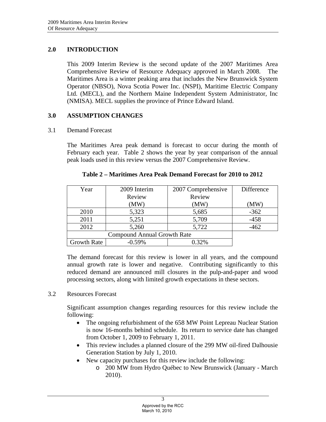## **2.0 INTRODUCTION**

This 2009 Interim Review is the second update of the 2007 Maritimes Area Comprehensive Review of Resource Adequacy approved in March 2008. The Maritimes Area is a winter peaking area that includes the New Brunswick System Operator (NBSO), Nova Scotia Power Inc. (NSPI), Maritime Electric Company Ltd. (MECL), and the Northern Maine Independent System Administrator, Inc (NMISA). MECL supplies the province of Prince Edward Island.

## **3.0 ASSUMPTION CHANGES**

#### 3.1 Demand Forecast

The Maritimes Area peak demand is forecast to occur during the month of February each year. Table 2 shows the year by year comparison of the annual peak loads used in this review versus the 2007 Comprehensive Review.

| Year        | 2009 Interim | 2007 Comprehensive | Difference |
|-------------|--------------|--------------------|------------|
|             | Review       | Review             |            |
|             | (MW)         | (MW)               | (MW)       |
| 2010        | 5,323        | 5,685              | $-362$     |
| 2011        | 5,251        | 5,709              | $-458$     |
| 2012        | 5,260        | 5,722              | $-462$     |
|             |              |                    |            |
| Growth Rate | $-0.59%$     | 0.32%              |            |

#### **Table 2 – Maritimes Area Peak Demand Forecast for 2010 to 2012**

The demand forecast for this review is lower in all years, and the compound annual growth rate is lower and negative. Contributing significantly to this reduced demand are announced mill closures in the pulp-and-paper and wood processing sectors, along with limited growth expectations in these sectors.

#### 3.2 Resources Forecast

Significant assumption changes regarding resources for this review include the following:

- The ongoing refurbishment of the 658 MW Point Lepreau Nuclear Station is now 16-months behind schedule. Its return to service date has changed from October 1, 2009 to February 1, 2011.
- This review includes a planned closure of the 299 MW oil-fired Dalhousie Generation Station by July 1, 2010.
- New capacity purchases for this review include the following:
	- o 200 MW from Hydro Québec to New Brunswick (January March 2010).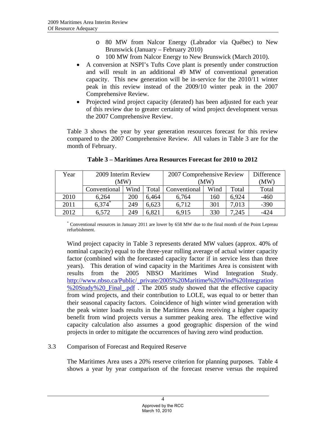- o 80 MW from Nalcor Energy (Labrador via Québec) to New Brunswick (January – February 2010)
- o 100 MW from Nalcor Energy to New Brunswick (March 2010).
- A conversion at NSPI's Tufts Cove plant is presently under construction and will result in an additional 49 MW of conventional generation capacity. This new generation will be in-service for the 2010/11 winter peak in this review instead of the 2009/10 winter peak in the 2007 Comprehensive Review.
- Projected wind project capacity (derated) has been adjusted for each year of this review due to greater certainty of wind project development versus the 2007 Comprehensive Review.

Table 3 shows the year by year generation resources forecast for this review compared to the 2007 Comprehensive Review. All values in Table 3 are for the month of February.

| Year | 2009 Interim Review |      |       | 2007 Comprehensive Review |      |       | Difference                 |
|------|---------------------|------|-------|---------------------------|------|-------|----------------------------|
|      | `MW                 |      |       | 'MW                       |      |       | $\left( \text{MW} \right)$ |
|      | Conventional        | Wind | Total | Conventional              | Wind | Total | Total                      |
| 2010 | 6.264               | 200  | 6,464 | 6,764                     | 160  | 6.924 | $-460$                     |
| 2011 | 6,374               | 249  | 6,623 | 6,712                     | 301  | 7,013 | $-390$                     |
| 2012 | 6,572               | 249  | 6,821 | 6.915                     | 330  | 245.  | $-424$                     |

**Table 3 – Maritimes Area Resources Forecast for 2010 to 2012** 

\* Conventional resources in January 2011 are lower by 658 MW due to the final month of the Point Lepreau refurbishment.

Wind project capacity in Table 3 represents derated MW values (approx. 40% of nominal capacity) equal to the three-year rolling average of actual winter capacity factor (combined with the forecasted capacity factor if in service less than three years). This deration of wind capacity in the Maritimes Area is consistent with results from the 2005 NBSO Maritimes Wind Integration Study. http://www.nbso.ca/Public/\_private/2005%20Maritime%20Wind%20Integration %20Study%20\_Final\_.pdf . The 2005 study showed that the effective capacity from wind projects, and their contribution to LOLE, was equal to or better than their seasonal capacity factors. Coincidence of high winter wind generation with the peak winter loads results in the Maritimes Area receiving a higher capacity benefit from wind projects versus a summer peaking area. The effective wind capacity calculation also assumes a good geographic dispersion of the wind projects in order to mitigate the occurrences of having zero wind production.

#### 3.3 Comparison of Forecast and Required Reserve

The Maritimes Area uses a 20% reserve criterion for planning purposes. Table 4 shows a year by year comparison of the forecast reserve versus the required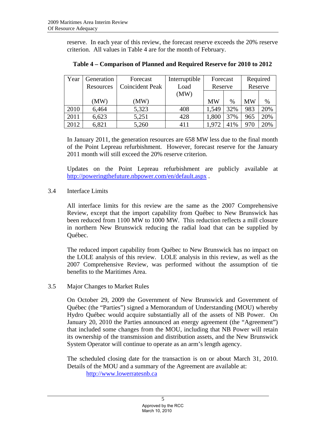reserve. In each year of this review, the forecast reserve exceeds the 20% reserve criterion. All values in Table 4 are for the month of February.

| Year | Generation | Forecast               | Interruptible | Forecast  |     | Required  |      |
|------|------------|------------------------|---------------|-----------|-----|-----------|------|
|      | Resources  | <b>Coincident Peak</b> | Load          | Reserve   |     | Reserve   |      |
|      |            |                        | (MW)          |           |     |           |      |
|      | (MW)       | (MW)                   |               | <b>MW</b> | %   | <b>MW</b> | $\%$ |
| 2010 | 6,464      | 5,323                  | 408           | 1,549     | 32% | 983       | 20%  |
| 2011 | 6,623      | 5,251                  | 428           | 1,800     | 37% | 965       | 20%  |
| 2012 | 6,821      | 5,260                  | 411           | 1.972     | 41% | 970       | 20%  |

| Table 4 – Comparison of Planned and Required Reserve for 2010 to 2012 |
|-----------------------------------------------------------------------|
|-----------------------------------------------------------------------|

In January 2011, the generation resources are 658 MW less due to the final month of the Point Lepreau refurbishment. However, forecast reserve for the January 2011 month will still exceed the 20% reserve criterion.

Updates on the Point Lepreau refurbishment are publicly available at http://poweringthefuture.nbpower.com/en/default.aspx .

#### 3.4 Interface Limits

All interface limits for this review are the same as the 2007 Comprehensive Review, except that the import capability from Québec to New Brunswick has been reduced from 1100 MW to 1000 MW. This reduction reflects a mill closure in northern New Brunswick reducing the radial load that can be supplied by Québec.

The reduced import capability from Québec to New Brunswick has no impact on the LOLE analysis of this review. LOLE analysis in this review, as well as the 2007 Comprehensive Review, was performed without the assumption of tie benefits to the Maritimes Area.

#### 3.5 Major Changes to Market Rules

On October 29, 2009 the Government of New Brunswick and Government of Québec (the "Parties") signed a Memorandum of Understanding (MOU) whereby Hydro Québec would acquire substantially all of the assets of NB Power. On January 20, 2010 the Parties announced an energy agreement (the "Agreement") that included some changes from the MOU, including that NB Power will retain its ownership of the transmission and distribution assets, and the New Brunswick System Operator will continue to operate as an arm's length agency.

The scheduled closing date for the transaction is on or about March 31, 2010. Details of the MOU and a summary of the Agreement are available at:

http://www.lowerratesnb.ca